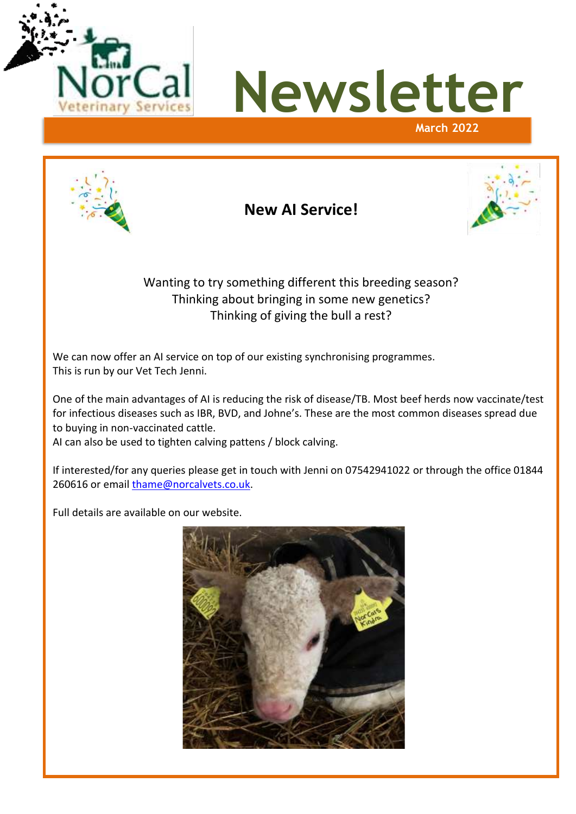



Ser

**New AI Service!**



# Wanting to try something different this breeding season? Thinking about bringing in some new genetics? Thinking of giving the bull a rest?

We can now offer an AI service on top of our existing synchronising programmes. This is run by our Vet Tech Jenni.

One of the main advantages of AI is reducing the risk of disease/TB. Most beef herds now vaccinate/test for infectious diseases such as IBR, BVD, and Johne's. These are the most common diseases spread due to buying in non-vaccinated cattle.

AI can also be used to tighten calving pattens / block calving.

If interested/for any queries please get in touch with Jenni on 07542941022 or through the office 01844 260616 or email [thame@norcalvets.co.uk.](mailto:thame@norcalvets.co.uk)

Full details are available on our website.

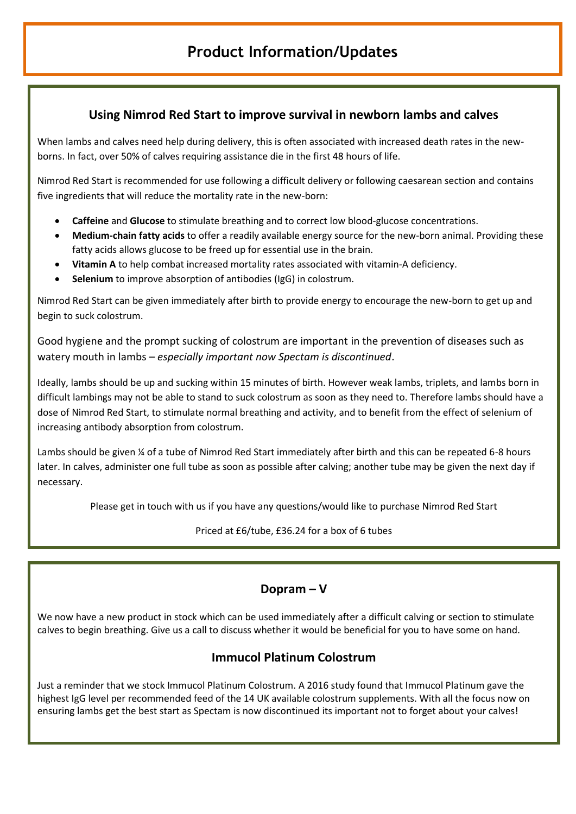## **Using Nimrod Red Start to improve survival in newborn lambs and calves**

When lambs and calves need help during delivery, this is often associated with increased death rates in the newborns. In fact, over 50% of calves requiring assistance die in the first 48 hours of life.

Nimrod Red Start is recommended for use following a difficult delivery or following caesarean section and contains five ingredients that will reduce the mortality rate in the new-born:

- **Caffeine** and **Glucose** to stimulate breathing and to correct low blood-glucose concentrations.
- **Medium-chain fatty acids** to offer a readily available energy source for the new-born animal. Providing these fatty acids allows glucose to be freed up for essential use in the brain.
- **Vitamin A** to help combat increased mortality rates associated with vitamin-A deficiency.
- **Selenium** to improve absorption of antibodies (IgG) in colostrum.

Nimrod Red Start can be given immediately after birth to provide energy to encourage the new-born to get up and begin to suck colostrum.

Good hygiene and the prompt sucking of colostrum are important in the prevention of diseases such as watery mouth in lambs – *especially important now Spectam is discontinued*.

Ideally, lambs should be up and sucking within 15 minutes of birth. However weak lambs, triplets, and lambs born in difficult lambings may not be able to stand to suck colostrum as soon as they need to. Therefore lambs should have a dose of Nimrod Red Start, to stimulate normal breathing and activity, and to benefit from the effect of selenium of increasing antibody absorption from colostrum.

Lambs should be given ¼ of a tube of Nimrod Red Start immediately after birth and this can be repeated 6-8 hours later. In calves, administer one full tube as soon as possible after calving; another tube may be given the next day if necessary.

Please get in touch with us if you have any questions/would like to purchase Nimrod Red Start

Priced at £6/tube, £36.24 for a box of 6 tubes

### **Dopram – V**

We now have a new product in stock which can be used immediately after a difficult calving or section to stimulate calves to begin breathing. Give us a call to discuss whether it would be beneficial for you to have some on hand.

## **Immucol Platinum Colostrum**

Just a reminder that we stock Immucol Platinum Colostrum. A 2016 study found that Immucol Platinum gave the highest IgG level per recommended feed of the 14 UK available colostrum supplements. With all the focus now on ensuring lambs get the best start as Spectam is now discontinued its important not to forget about your calves!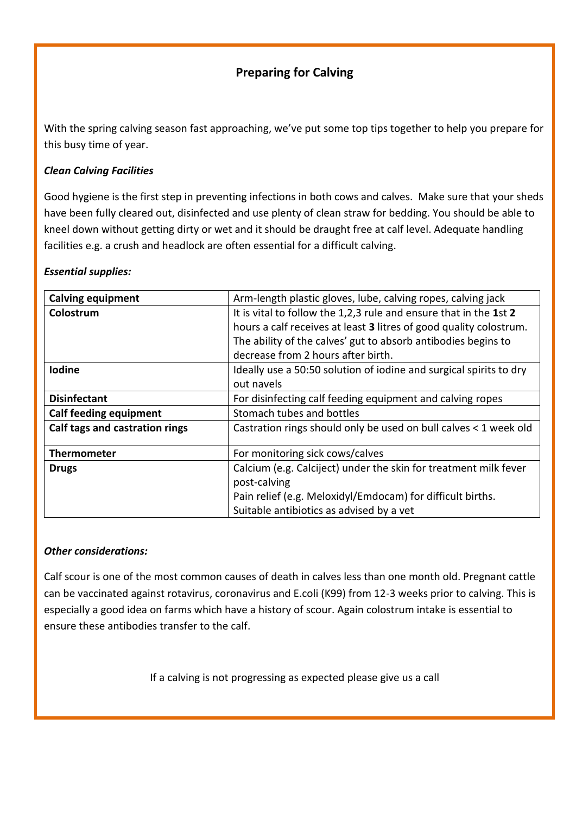# **Preparing for Calving**

With the spring calving season fast approaching, we've put some top tips together to help you prepare for this busy time of year.

### *Clean Calving Facilities*

Good hygiene is the first step in preventing infections in both cows and calves. Make sure that your sheds have been fully cleared out, disinfected and use plenty of clean straw for bedding. You should be able to kneel down without getting dirty or wet and it should be draught free at calf level. Adequate handling facilities e.g. a crush and headlock are often essential for a difficult calving.

#### *Essential supplies:*

| <b>Calving equipment</b>       | Arm-length plastic gloves, lube, calving ropes, calving jack       |
|--------------------------------|--------------------------------------------------------------------|
| Colostrum                      | It is vital to follow the 1,2,3 rule and ensure that in the 1st 2  |
|                                | hours a calf receives at least 3 litres of good quality colostrum. |
|                                | The ability of the calves' gut to absorb antibodies begins to      |
|                                | decrease from 2 hours after birth.                                 |
| <b>Iodine</b>                  | Ideally use a 50:50 solution of iodine and surgical spirits to dry |
|                                | out navels                                                         |
| <b>Disinfectant</b>            | For disinfecting calf feeding equipment and calving ropes          |
| <b>Calf feeding equipment</b>  | Stomach tubes and bottles                                          |
| Calf tags and castration rings | Castration rings should only be used on bull calves < 1 week old   |
|                                |                                                                    |
| <b>Thermometer</b>             | For monitoring sick cows/calves                                    |
| <b>Drugs</b>                   | Calcium (e.g. Calciject) under the skin for treatment milk fever   |
|                                | post-calving                                                       |
|                                | Pain relief (e.g. Meloxidyl/Emdocam) for difficult births.         |
|                                | Suitable antibiotics as advised by a vet                           |

#### *Other considerations:*

Calf scour is one of the most common causes of death in calves less than one month old. Pregnant cattle can be vaccinated against rotavirus, coronavirus and E.coli (K99) from 12-3 weeks prior to calving. This is especially a good idea on farms which have a history of scour. Again colostrum intake is essential to ensure these antibodies transfer to the calf.

If a calving is not progressing as expected please give us a call